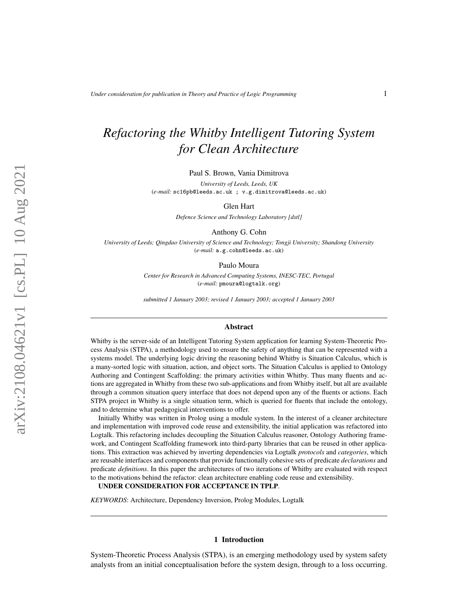# *Refactoring the Whitby Intelligent Tutoring System for Clean Architecture*

Paul S. Brown, Vania Dimitrova

*University of Leeds, Leeds, UK* (*e-mail:* sc16pb@leeds.ac.uk ; v.g.dimitrova@leeds.ac.uk)

Glen Hart

*Defence Science and Technology Laboratory [dstl]*

Anthony G. Cohn

*University of Leeds; Qingdao University of Science and Technology; Tongji University; Shandong University* (*e-mail:* a.g.cohn@leeds.ac.uk)

Paulo Moura

*Center for Research in Advanced Computing Systems, INESC-TEC, Portugal* (*e-mail:* pmoura@logtalk.org)

*submitted 1 January 2003; revised 1 January 2003; accepted 1 January 2003*

#### Abstract

Whitby is the server-side of an Intelligent Tutoring System application for learning System-Theoretic Process Analysis (STPA), a methodology used to ensure the safety of anything that can be represented with a systems model. The underlying logic driving the reasoning behind Whitby is Situation Calculus, which is a many-sorted logic with situation, action, and object sorts. The Situation Calculus is applied to Ontology Authoring and Contingent Scaffolding: the primary activities within Whitby. Thus many fluents and actions are aggregated in Whitby from these two sub-applications and from Whitby itself, but all are available through a common situation query interface that does not depend upon any of the fluents or actions. Each STPA project in Whitby is a single situation term, which is queried for fluents that include the ontology, and to determine what pedagogical interventions to offer.

Initially Whitby was written in Prolog using a module system. In the interest of a cleaner architecture and implementation with improved code reuse and extensibility, the initial application was refactored into Logtalk. This refactoring includes decoupling the Situation Calculus reasoner, Ontology Authoring framework, and Contingent Scaffolding framework into third-party libraries that can be reused in other applications. This extraction was achieved by inverting dependencies via Logtalk *protocols* and *categories*, which are reusable interfaces and components that provide functionally cohesive sets of predicate *declarations* and predicate *definitions*. In this paper the architectures of two iterations of Whitby are evaluated with respect to the motivations behind the refactor: clean architecture enabling code reuse and extensibility.

UNDER CONSIDERATION FOR ACCEPTANCE IN TPLP.

*KEYWORDS*: Architecture, Dependency Inversion, Prolog Modules, Logtalk

#### 1 Introduction

System-Theoretic Process Analysis (STPA), is an emerging methodology used by system safety analysts from an initial conceptualisation before the system design, through to a loss occurring.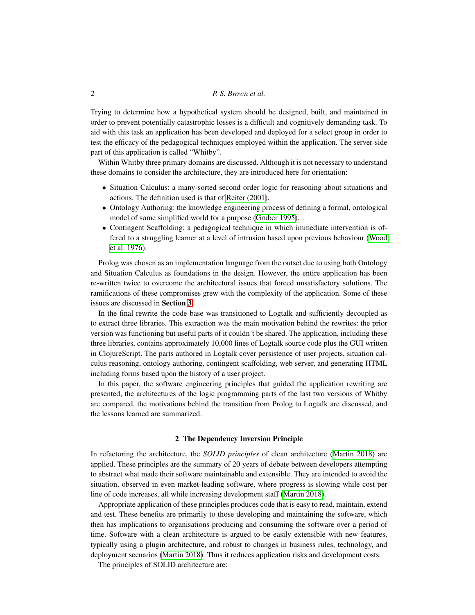Trying to determine how a hypothetical system should be designed, built, and maintained in order to prevent potentially catastrophic losses is a difficult and cognitively demanding task. To aid with this task an application has been developed and deployed for a select group in order to test the efficacy of the pedagogical techniques employed within the application. The server-side part of this application is called "Whitby".

Within Whitby three primary domains are discussed. Although it is not necessary to understand these domains to consider the architecture, they are introduced here for orientation:

- Situation Calculus: a many-sorted second order logic for reasoning about situations and actions. The definition used is that of [Reiter \(2001\)](#page-15-0).
- Ontology Authoring: the knowledge engineering process of defining a formal, ontological model of some simplified world for a purpose [\(Gruber 1995\)](#page-15-1).
- Contingent Scaffolding: a pedagogical technique in which immediate intervention is offered to a struggling learner at a level of intrusion based upon previous behaviour [\(Wood](#page-15-2) [et al. 1976\)](#page-15-2).

Prolog was chosen as an implementation language from the outset due to using both Ontology and Situation Calculus as foundations in the design. However, the entire application has been re-written twice to overcome the architectural issues that forced unsatisfactory solutions. The ramifications of these compromises grew with the complexity of the application. Some of these issues are discussed in Section [3](#page-3-0).

In the final rewrite the code base was transitioned to Logtalk and sufficiently decoupled as to extract three libraries. This extraction was the main motivation behind the rewrites: the prior version was functioning but useful parts of it couldn't be shared. The application, including these three libraries, contains approximately 10,000 lines of Logtalk source code plus the GUI written in ClojureScript. The parts authored in Logtalk cover persistence of user projects, situation calculus reasoning, ontology authoring, contingent scaffolding, web server, and generating HTML including forms based upon the history of a user project.

In this paper, the software engineering principles that guided the application rewriting are presented, the architectures of the logic programming parts of the last two versions of Whitby are compared, the motivations behind the transition from Prolog to Logtalk are discussed, and the lessons learned are summarized.

## 2 The Dependency Inversion Principle

In refactoring the architecture, the *SOLID principles* of clean architecture [\(Martin 2018\)](#page-15-3) are applied. These principles are the summary of 20 years of debate between developers attempting to abstract what made their software maintainable and extensible. They are intended to avoid the situation, observed in even market-leading software, where progress is slowing while cost per line of code increases, all while increasing development staff [\(Martin 2018\)](#page-15-3).

Appropriate application of these principles produces code that is easy to read, maintain, extend and test. These benefits are primarily to those developing and maintaining the software, which then has implications to organisations producing and consuming the software over a period of time. Software with a clean architecture is argued to be easily extensible with new features, typically using a plugin architecture, and robust to changes in business rules, technology, and deployment scenarios [\(Martin 2018\)](#page-15-3). Thus it reduces application risks and development costs.

The principles of SOLID architecture are: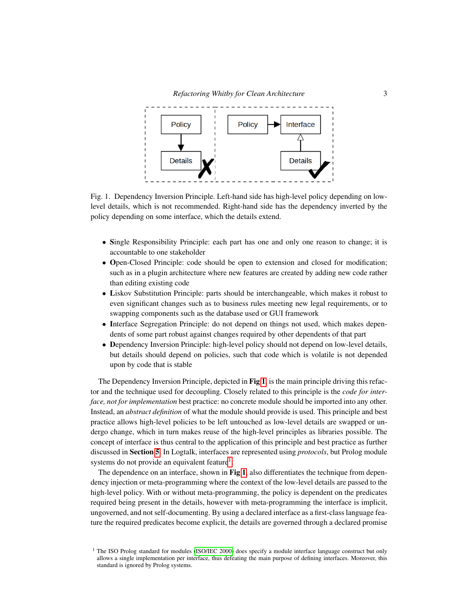

<span id="page-2-0"></span>Fig. 1. Dependency Inversion Principle. Left-hand side has high-level policy depending on lowlevel details, which is not recommended. Right-hand side has the dependency inverted by the policy depending on some interface, which the details extend.

- Single Responsibility Principle: each part has one and only one reason to change; it is accountable to one stakeholder
- Open-Closed Principle: code should be open to extension and closed for modification; such as in a plugin architecture where new features are created by adding new code rather than editing existing code
- Liskov Substitution Principle: parts should be interchangeable, which makes it robust to even significant changes such as to business rules meeting new legal requirements, or to swapping components such as the database used or GUI framework
- Interface Segregation Principle: do not depend on things not used, which makes dependents of some part robust against changes required by other dependents of that part
- Dependency Inversion Principle: high-level policy should not depend on low-level details, but details should depend on policies, such that code which is volatile is not depended upon by code that is stable

The Dependency Inversion Principle, depicted in Fig [1](#page-2-0), is the main principle driving this refactor and the technique used for decoupling. Closely related to this principle is the *code for interface, not for implementation* best practice: no concrete module should be imported into any other. Instead, an *abstract definition* of what the module should provide is used. This principle and best practice allows high-level policies to be left untouched as low-level details are swapped or undergo change, which in turn makes reuse of the high-level principles as libraries possible. The concept of interface is thus central to the application of this principle and best practice as further discussed in Section [5](#page-9-0). In Logtalk, interfaces are represented using *protocols*, but Prolog module systems do not provide an equivalent feature<sup>[1](#page-2-1)</sup>.

The dependence on an interface, shown in Fig [1](#page-2-0), also differentiates the technique from dependency injection or meta-programming where the context of the low-level details are passed to the high-level policy. With or without meta-programming, the policy is dependent on the predicates required being present in the details, however with meta-programming the interface is implicit, ungoverned, and not self-documenting. By using a declared interface as a first-class language feature the required predicates become explicit, the details are governed through a declared promise

<span id="page-2-1"></span><sup>&</sup>lt;sup>1</sup> The ISO Prolog standard for modules [\(ISO/IEC 2000\)](#page-15-4) does specify a module interface language construct but only allows a single implementation per interface, thus defeating the main purpose of defining interfaces. Moreover, this standard is ignored by Prolog systems.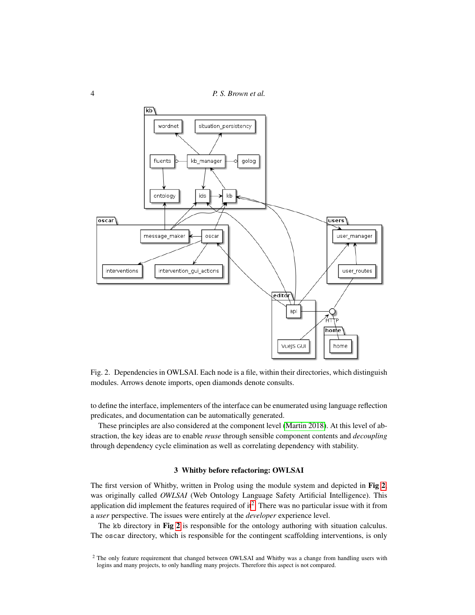4 *P. S. Brown et al.*



<span id="page-3-1"></span>Fig. 2. Dependencies in OWLSAI. Each node is a file, within their directories, which distinguish modules. Arrows denote imports, open diamonds denote consults.

to define the interface, implementers of the interface can be enumerated using language reflection predicates, and documentation can be automatically generated.

These principles are also considered at the component level [\(Martin 2018\)](#page-15-3). At this level of abstraction, the key ideas are to enable *reuse* through sensible component contents and *decoupling* through dependency cycle elimination as well as correlating dependency with stability.

## 3 Whitby before refactoring: OWLSAI

<span id="page-3-0"></span>The first version of Whitby, written in Prolog using the module system and depicted in Fig [2](#page-3-1), was originally called *OWLSAI* (Web Ontology Language Safety Artificial Intelligence). This application did implement the features required of it<sup>[2](#page-3-2)</sup>. There was no particular issue with it from a *user* perspective. The issues were entirely at the *developer* experience level.

The kb directory in Fig [2](#page-3-1) is responsible for the ontology authoring with situation calculus. The oscar directory, which is responsible for the contingent scaffolding interventions, is only

<span id="page-3-2"></span><sup>&</sup>lt;sup>2</sup> The only feature requirement that changed between OWLSAI and Whitby was a change from handling users with logins and many projects, to only handling many projects. Therefore this aspect is not compared.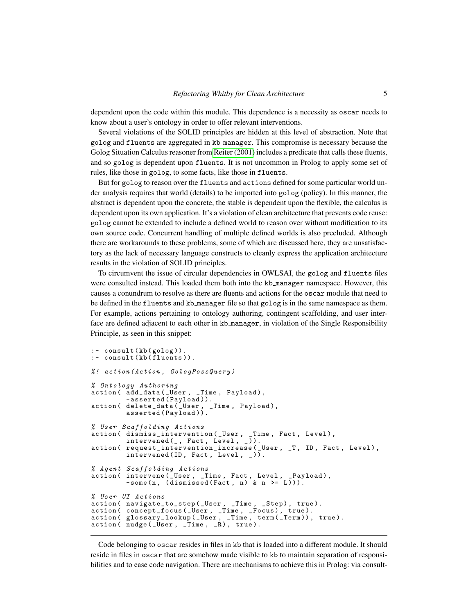dependent upon the code within this module. This dependence is a necessity as oscar needs to know about a user's ontology in order to offer relevant interventions.

Several violations of the SOLID principles are hidden at this level of abstraction. Note that golog and fluents are aggregated in kb manager. This compromise is necessary because the Golog Situation Calculus reasoner from [Reiter \(2001\)](#page-15-0) includes a predicate that calls these fluents, and so golog is dependent upon fluents. It is not uncommon in Prolog to apply some set of rules, like those in golog, to some facts, like those in fluents.

But for golog to reason over the fluents and actions defined for some particular world under analysis requires that world (details) to be imported into golog (policy). In this manner, the abstract is dependent upon the concrete, the stable is dependent upon the flexible, the calculus is dependent upon its own application. It's a violation of clean architecture that prevents code reuse: golog cannot be extended to include a defined world to reason over without modification to its own source code. Concurrent handling of multiple defined worlds is also precluded. Although there are workarounds to these problems, some of which are discussed here, they are unsatisfactory as the lack of necessary language constructs to cleanly express the application architecture results in the violation of SOLID principles.

To circumvent the issue of circular dependencies in OWLSAI, the golog and fluents files were consulted instead. This loaded them both into the kb manager namespace. However, this causes a conundrum to resolve as there are fluents and actions for the oscar module that need to be defined in the fluents and kb manager file so that golog is in the same namespace as them. For example, actions pertaining to ontology authoring, contingent scaffolding, and user interface are defined adjacent to each other in kb manager, in violation of the Single Responsibility Principle, as seen in this snippet:

```
:- consult (kb (golog)).
: - consult ( kb ( fluents )).
% ! action ( Action , GologPossQuery )
% Ontology Authoring
action ( add_data (_User, _Time, Payload),
         -asserted (Payload)).
action ( delete_data ( _User , _Time , Payload ) ,
         asserted ( Payload )).
% User Scaffolding Actions
action ( dismiss_intervention ( _User , _Time , Fact , Level ) ,
         interval( , Fact, Level, ).
action ( request_intervention_increase (_User, _T, ID, Fact, Level),
        intervened (ID, Fact, Level, _)).
% Agent Scaffolding Actions
action ( intervene (_User , _Time , Fact , Level , _Payload) ,
         - some (n, (dissnised(Fact, n) \& n \geq L))).
% User UI Actions
action ( navigate_to_step (_User, _Time, _Step), true).
action ( concept_focus ( _User , _Time , _Focus ) , true ).
action ( glossary_lookup ( _User , _Time , term ( _Term )) , true ).
action ( nudge (_User, _Time, _R), true).
```
Code belonging to oscar resides in files in kb that is loaded into a different module. It should reside in files in oscar that are somehow made visible to kb to maintain separation of responsibilities and to ease code navigation. There are mechanisms to achieve this in Prolog: via consult-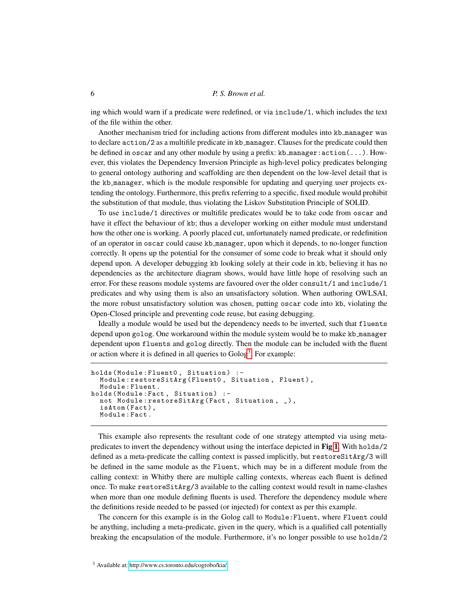ing which would warn if a predicate were redefined, or via include/1, which includes the text of the file within the other.

Another mechanism tried for including actions from different modules into kb manager was to declare action/2 as a multifile predicate in kb manager. Clauses for the predicate could then be defined in oscar and any other module by using a prefix:  $kb$  manager:  $action(...)$ . However, this violates the Dependency Inversion Principle as high-level policy predicates belonging to general ontology authoring and scaffolding are then dependent on the low-level detail that is the kb manager, which is the module responsible for updating and querying user projects extending the ontology. Furthermore, this prefix referring to a specific, fixed module would prohibit the substitution of that module, thus violating the Liskov Substitution Principle of SOLID.

To use include/1 directives or multifile predicates would be to take code from oscar and have it effect the behaviour of kb; thus a developer working on either module must understand how the other one is working. A poorly placed cut, unfortunately named predicate, or redefinition of an operator in oscar could cause kb manager, upon which it depends, to no-longer function correctly. It opens up the potential for the consumer of some code to break what it should only depend upon. A developer debugging kb looking solely at their code in kb, believing it has no dependencies as the architecture diagram shows, would have little hope of resolving such an error. For these reasons module systems are favoured over the older consult/1 and include/1 predicates and why using them is also an unsatisfactory solution. When authoring OWLSAI, the more robust unsatisfactory solution was chosen, putting oscar code into kb, violating the Open-Closed principle and preventing code reuse, but easing debugging.

Ideally a module would be used but the dependency needs to be inverted, such that fluents depend upon golog. One workaround within the module system would be to make kb manager dependent upon fluents and golog directly. Then the module can be included with the fluent or action where it is defined in all queries to Golog<sup>[3](#page-5-0)</sup>. For example:

```
holds (Module: Fluent0, Situation) :-
  Module: restoreSitArg (Fluent0, Situation, Fluent),
  Module : Fluent .
holds (Module: Fact, Situation) :-
  not Module: restoreSitArg (Fact, Situation, _),
  isAtom (Fact),
  Module : Fact .
```
This example also represents the resultant code of one strategy attempted via using metapredicates to invert the dependency without using the interface depicted in Fig [1](#page-2-0). With holds/2 defined as a meta-predicate the calling context is passed implicitly, but restoreSitArg/3 will be defined in the same module as the Fluent, which may be in a different module from the calling context: in Whitby there are multiple calling contexts, whereas each fluent is defined once. To make restoreSitArg/3 available to the calling context would result in name-clashes when more than one module defining fluents is used. Therefore the dependency module where the definitions reside needed to be passed (or injected) for context as per this example.

<span id="page-5-0"></span>The concern for this example is in the Golog call to Module:Fluent, where Fluent could be anything, including a meta-predicate, given in the query, which is a qualified call potentially breaking the encapsulation of the module. Furthermore, it's no longer possible to use holds/2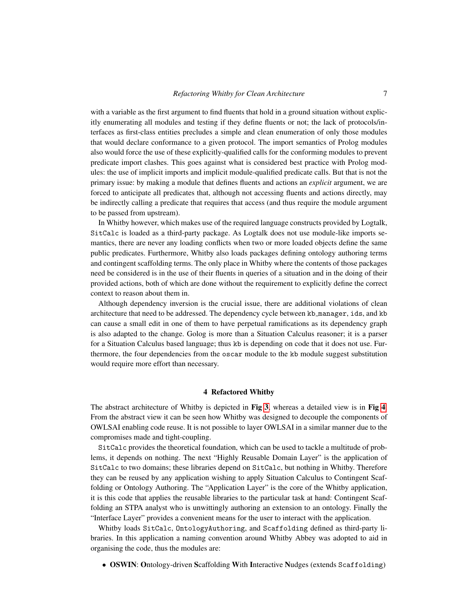with a variable as the first argument to find fluents that hold in a ground situation without explicitly enumerating all modules and testing if they define fluents or not; the lack of protocols/interfaces as first-class entities precludes a simple and clean enumeration of only those modules that would declare conformance to a given protocol. The import semantics of Prolog modules also would force the use of these explicitly-qualified calls for the conforming modules to prevent predicate import clashes. This goes against what is considered best practice with Prolog modules: the use of implicit imports and implicit module-qualified predicate calls. But that is not the primary issue: by making a module that defines fluents and actions an *explicit* argument, we are forced to anticipate all predicates that, although not accessing fluents and actions directly, may be indirectly calling a predicate that requires that access (and thus require the module argument to be passed from upstream).

In Whitby however, which makes use of the required language constructs provided by Logtalk, SitCalc is loaded as a third-party package. As Logtalk does not use module-like imports semantics, there are never any loading conflicts when two or more loaded objects define the same public predicates. Furthermore, Whitby also loads packages defining ontology authoring terms and contingent scaffolding terms. The only place in Whitby where the contents of those packages need be considered is in the use of their fluents in queries of a situation and in the doing of their provided actions, both of which are done without the requirement to explicitly define the correct context to reason about them in.

Although dependency inversion is the crucial issue, there are additional violations of clean architecture that need to be addressed. The dependency cycle between kb manager, ids, and kb can cause a small edit in one of them to have perpetual ramifications as its dependency graph is also adapted to the change. Golog is more than a Situation Calculus reasoner; it is a parser for a Situation Calculus based language; thus kb is depending on code that it does not use. Furthermore, the four dependencies from the oscar module to the kb module suggest substitution would require more effort than necessary.

## 4 Refactored Whitby

The abstract architecture of Whitby is depicted in Fig [3](#page-7-0), whereas a detailed view is in Fig [4](#page-8-0). From the abstract view it can be seen how Whitby was designed to decouple the components of OWLSAI enabling code reuse. It is not possible to layer OWLSAI in a similar manner due to the compromises made and tight-coupling.

SitCalc provides the theoretical foundation, which can be used to tackle a multitude of problems, it depends on nothing. The next "Highly Reusable Domain Layer" is the application of SitCalc to two domains; these libraries depend on SitCalc, but nothing in Whitby. Therefore they can be reused by any application wishing to apply Situation Calculus to Contingent Scaffolding or Ontology Authoring. The "Application Layer" is the core of the Whitby application, it is this code that applies the reusable libraries to the particular task at hand: Contingent Scaffolding an STPA analyst who is unwittingly authoring an extension to an ontology. Finally the "Interface Layer" provides a convenient means for the user to interact with the application.

Whitby loads SitCalc, OntologyAuthoring, and Scaffolding defined as third-party libraries. In this application a naming convention around Whitby Abbey was adopted to aid in organising the code, thus the modules are:

• OSWIN: Ontology-driven Scaffolding With Interactive Nudges (extends Scaffolding)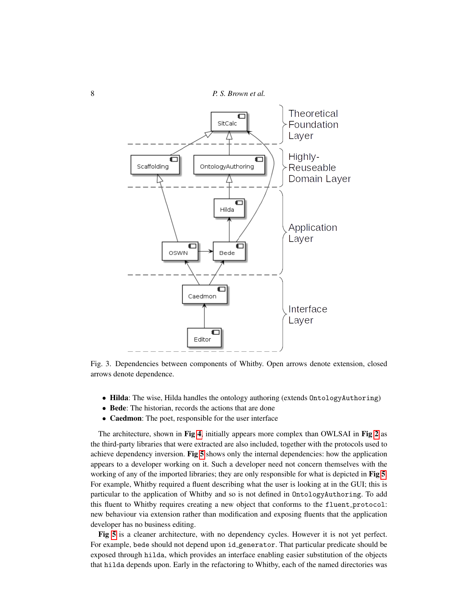

<span id="page-7-0"></span>Fig. 3. Dependencies between components of Whitby. Open arrows denote extension, closed arrows denote dependence.

- Hilda: The wise, Hilda handles the ontology authoring (extends OntologyAuthoring)
- Bede: The historian, records the actions that are done
- Caedmon: The poet, responsible for the user interface

The architecture, shown in Fig [4](#page-8-0), initially appears more complex than OWLSAI in Fig [2](#page-3-1) as the third-party libraries that were extracted are also included, together with the protocols used to achieve dependency inversion. Fig [5](#page-9-1) shows only the internal dependencies: how the application appears to a developer working on it. Such a developer need not concern themselves with the working of any of the imported libraries; they are only responsible for what is depicted in Fig [5](#page-9-1). For example, Whitby required a fluent describing what the user is looking at in the GUI; this is particular to the application of Whitby and so is not defined in OntologyAuthoring. To add this fluent to Whitby requires creating a new object that conforms to the fluent protocol: new behaviour via extension rather than modification and exposing fluents that the application developer has no business editing.

Fig [5](#page-9-1) is a cleaner architecture, with no dependency cycles. However it is not yet perfect. For example, bede should not depend upon id generator. That particular predicate should be exposed through hilda, which provides an interface enabling easier substitution of the objects that hilda depends upon. Early in the refactoring to Whitby, each of the named directories was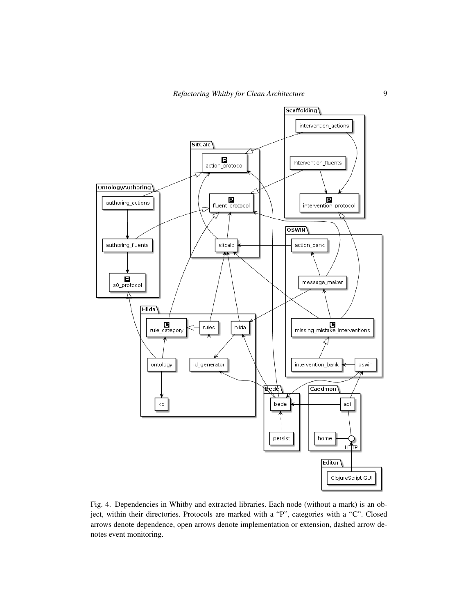

<span id="page-8-0"></span>Fig. 4. Dependencies in Whitby and extracted libraries. Each node (without a mark) is an object, within their directories. Protocols are marked with a "P", categories with a "C". Closed arrows denote dependence, open arrows denote implementation or extension, dashed arrow denotes event monitoring.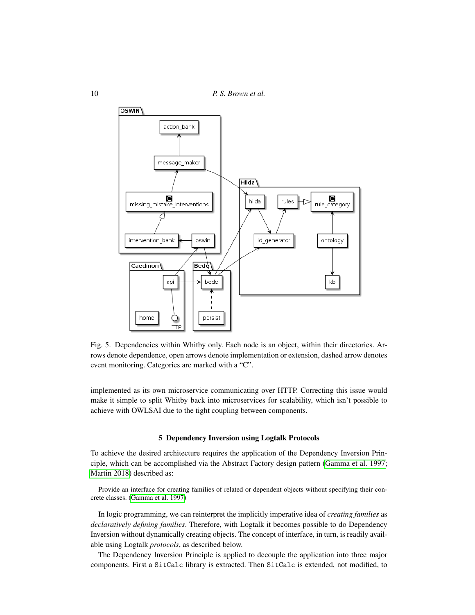10 *P. S. Brown et al.*



<span id="page-9-1"></span>Fig. 5. Dependencies within Whitby only. Each node is an object, within their directories. Arrows denote dependence, open arrows denote implementation or extension, dashed arrow denotes event monitoring. Categories are marked with a "C".

implemented as its own microservice communicating over HTTP. Correcting this issue would make it simple to split Whitby back into microservices for scalability, which isn't possible to achieve with OWLSAI due to the tight coupling between components.

## 5 Dependency Inversion using Logtalk Protocols

<span id="page-9-0"></span>To achieve the desired architecture requires the application of the Dependency Inversion Principle, which can be accomplished via the Abstract Factory design pattern [\(Gamma et al. 1997;](#page-15-5) [Martin 2018\)](#page-15-3) described as:

Provide an interface for creating families of related or dependent objects without specifying their concrete classes. [\(Gamma et al. 1997\)](#page-15-5)

In logic programming, we can reinterpret the implicitly imperative idea of *creating families* as *declaratively defining families*. Therefore, with Logtalk it becomes possible to do Dependency Inversion without dynamically creating objects. The concept of interface, in turn, is readily available using Logtalk *protocols*, as described below.

The Dependency Inversion Principle is applied to decouple the application into three major components. First a SitCalc library is extracted. Then SitCalc is extended, not modified, to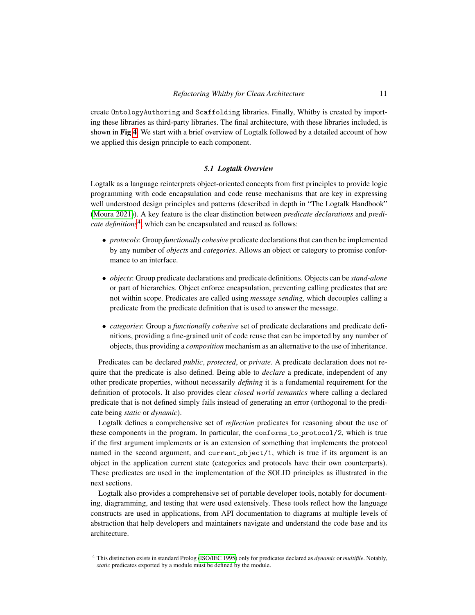create OntologyAuthoring and Scaffolding libraries. Finally, Whitby is created by importing these libraries as third-party libraries. The final architecture, with these libraries included, is shown in Fig [4](#page-8-0). We start with a brief overview of Logtalk followed by a detailed account of how we applied this design principle to each component.

## *5.1 Logtalk Overview*

Logtalk as a language reinterprets object-oriented concepts from first principles to provide logic programming with code encapsulation and code reuse mechanisms that are key in expressing well understood design principles and patterns (described in depth in "The Logtalk Handbook" [\(Moura 2021\)](#page-15-6)). A key feature is the clear distinction between *predicate declarations* and *predi-*cate definitions<sup>[4](#page-10-0)</sup>, which can be encapsulated and reused as follows:

- *protocols*: Group *functionally cohesive* predicate declarations that can then be implemented by any number of *objects* and *categories*. Allows an object or category to promise conformance to an interface.
- *objects*: Group predicate declarations and predicate definitions. Objects can be *stand-alone* or part of hierarchies. Object enforce encapsulation, preventing calling predicates that are not within scope. Predicates are called using *message sending*, which decouples calling a predicate from the predicate definition that is used to answer the message.
- *categories*: Group a *functionally cohesive* set of predicate declarations and predicate definitions, providing a fine-grained unit of code reuse that can be imported by any number of objects, thus providing a *composition* mechanism as an alternative to the use of inheritance.

Predicates can be declared *public*, *protected*, or *private*. A predicate declaration does not require that the predicate is also defined. Being able to *declare* a predicate, independent of any other predicate properties, without necessarily *defining* it is a fundamental requirement for the definition of protocols. It also provides clear *closed world semantics* where calling a declared predicate that is not defined simply fails instead of generating an error (orthogonal to the predicate being *static* or *dynamic*).

Logtalk defines a comprehensive set of *reflection* predicates for reasoning about the use of these components in the program. In particular, the conforms to protocol/2, which is true if the first argument implements or is an extension of something that implements the protocol named in the second argument, and current object/1, which is true if its argument is an object in the application current state (categories and protocols have their own counterparts). These predicates are used in the implementation of the SOLID principles as illustrated in the next sections.

Logtalk also provides a comprehensive set of portable developer tools, notably for documenting, diagramming, and testing that were used extensively. These tools reflect how the language constructs are used in applications, from API documentation to diagrams at multiple levels of abstraction that help developers and maintainers navigate and understand the code base and its architecture.

<span id="page-10-0"></span><sup>4</sup> This distinction exists in standard Prolog [\(ISO/IEC 1995\)](#page-15-7) only for predicates declared as *dynamic* or *multifile*. Notably, *static* predicates exported by a module must be defined by the module.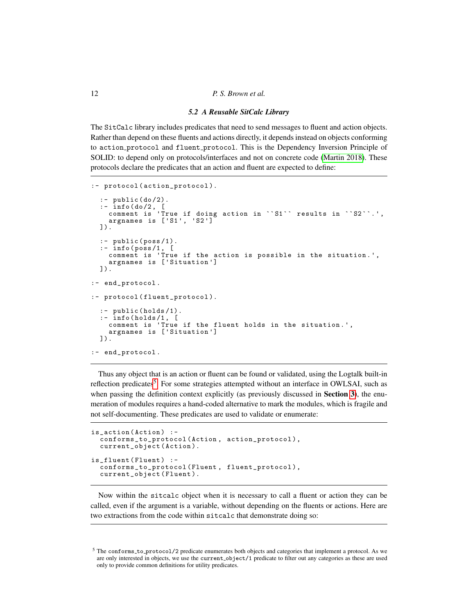## *5.2 A Reusable SitCalc Library*

The SitCalc library includes predicates that need to send messages to fluent and action objects. Rather than depend on these fluents and actions directly, it depends instead on objects conforming to action protocol and fluent protocol. This is the Dependency Inversion Principle of SOLID: to depend only on protocols/interfaces and not on concrete code [\(Martin 2018\)](#page-15-3). These protocols declare the predicates that an action and fluent are expected to define:

```
: - protocol ( action_protocol ).
  :- public (do/2).
  :- info(do/2, [
    comment is 'True if doing action in ``S1`` results in ``S2``.',
    argnames is ['S1 ', 'S2 ']
  ]).
  : - public (poss/1).
  : - info ( poss /1 , [
    comment is 'True if the action is possible in the situation .',
    argnames is ['Situation ']
  ]).
:- end_protocol.
:- protocol (fluent_protocol).
  :- public (holds/1).
  : - \text{info} (holds/1, [comment is 'True if the fluent holds in the situation .',
    argnames is ['Situation ']
  ]).
:- end_protocol.
```
Thus any object that is an action or fluent can be found or validated, using the Logtalk built-in reflection predicates<sup>[5](#page-11-0)</sup>. For some strategies attempted without an interface in OWLSAI, such as when passing the definition context explicitly (as previously discussed in **Section [3](#page-3-0)**), the enumeration of modules requires a hand-coded alternative to mark the modules, which is fragile and not self-documenting. These predicates are used to validate or enumerate:

```
is_action ( Action ) : -
  conforms_to_protocol ( Action , action_protocol ) ,
  current_object ( Action ).
is_fluent (Fluent) :-
  conforms_to_protocol (Fluent, fluent_protocol),
  current_object ( Fluent ).
```
Now within the sitcalc object when it is necessary to call a fluent or action they can be called, even if the argument is a variable, without depending on the fluents or actions. Here are two extractions from the code within sitcalc that demonstrate doing so:

<span id="page-11-0"></span><sup>5</sup> The conforms to protocol/2 predicate enumerates both objects and categories that implement a protocol. As we are only interested in objects, we use the current object/1 predicate to filter out any categories as these are used only to provide common definitions for utility predicates.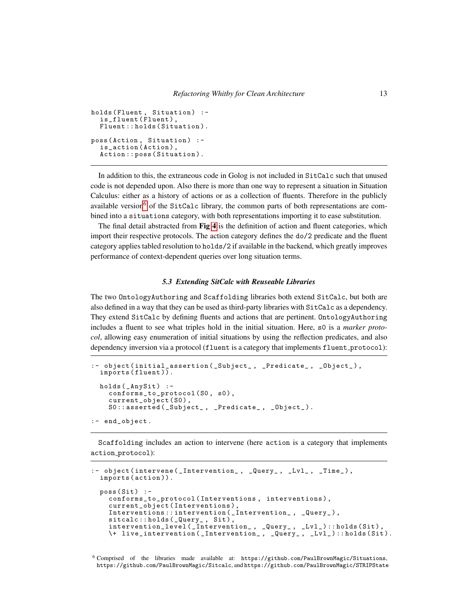```
holds (Fluent, Situation) :-
  is_fluent (Fluent),
  Fluent:: holds (Situation).
poss (Action, Situation) :-
  is_action ( Action ) ,
  Action :: poss ( Situation ).
```
In addition to this, the extraneous code in Golog is not included in SitCalc such that unused code is not depended upon. Also there is more than one way to represent a situation in Situation Calculus: either as a history of actions or as a collection of fluents. Therefore in the publicly available version<sup>[6](#page-12-0)</sup> of the SitCalc library, the common parts of both representations are combined into a situations category, with both representations importing it to ease substitution.

The final detail abstracted from Fig [4](#page-8-0) is the definition of action and fluent categories, which import their respective protocols. The action category defines the do/2 predicate and the fluent category applies tabled resolution to holds/2 if available in the backend, which greatly improves performance of context-dependent queries over long situation terms.

## *5.3 Extending SitCalc with Reuseable Libraries*

The two OntologyAuthoring and Scaffolding libraries both extend SitCalc, but both are also defined in a way that they can be used as third-party libraries with SitCalc as a dependency. They extend SitCalc by defining fluents and actions that are pertinent. OntologyAuthoring includes a fluent to see what triples hold in the initial situation. Here, s0 is a *marker protocol*, allowing easy enumeration of initial situations by using the reflection predicates, and also dependency inversion via a protocol (fluent is a category that implements fluent protocol):

```
:- object (initial_assertion (_Subject_, _Predicate_, _Object_),
 imports (fluent)).
 holds (_AnySit) :-
    conforms_to_protocol(S0, s0),
    current_object (SO),
   S0:: asserted (_Subject_, _Predicate_, _Object_).
:- end_object.
```
Scaffolding includes an action to intervene (here action is a category that implements action protocol):

```
:- object (intervene (_Intervention_, _Query_, _Lvl_, _Time_),
  imports ( action )).
  poss(Sit) :-
    conforms_to_protocol ( Interventions , interventions ) ,
    current_object ( Interventions ) ,
    Interventions :: intervention ( _Intervention_ , _Query_ ) ,
    sitcalc::holds (_Query_, Sit),
    intervention_level (_Intervention_, _Query_, _Lv1_)::holds (Sit)
    \+ live_intervention ( _Intervention_ , _Query_ , _Lvl_ ) :: holds ( Sit ).
```

```
6 Comprised of the libraries made available at: https://github.com/PaulBrownMagic/Situations,
 https://github.com/PaulBrownMagic/Sitcalc, and https://github.com/PaulBrownMagic/STRIPState
```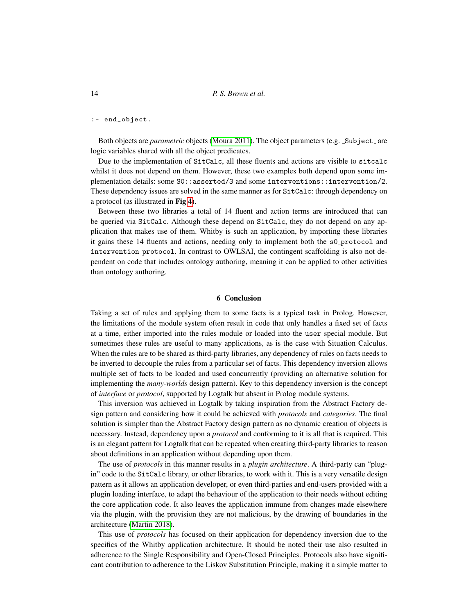## :- end\_object.

Both objects are *parametric* objects [\(Moura 2011\)](#page-15-8). The object parameters (e.g.  $\text{.Subject are}$ logic variables shared with all the object predicates.

Due to the implementation of SitCalc, all these fluents and actions are visible to sitcalc whilst it does not depend on them. However, these two examples both depend upon some implementation details: some S0::asserted/3 and some interventions::intervention/2. These dependency issues are solved in the same manner as for SitCalc: through dependency on a protocol (as illustrated in Fig [4](#page-8-0)).

Between these two libraries a total of 14 fluent and action terms are introduced that can be queried via SitCalc. Although these depend on SitCalc, they do not depend on any application that makes use of them. Whitby is such an application, by importing these libraries it gains these 14 fluents and actions, needing only to implement both the s0 protocol and intervention protocol. In contrast to OWLSAI, the contingent scaffolding is also not dependent on code that includes ontology authoring, meaning it can be applied to other activities than ontology authoring.

## 6 Conclusion

Taking a set of rules and applying them to some facts is a typical task in Prolog. However, the limitations of the module system often result in code that only handles a fixed set of facts at a time, either imported into the rules module or loaded into the user special module. But sometimes these rules are useful to many applications, as is the case with Situation Calculus. When the rules are to be shared as third-party libraries, any dependency of rules on facts needs to be inverted to decouple the rules from a particular set of facts. This dependency inversion allows multiple set of facts to be loaded and used concurrently (providing an alternative solution for implementing the *many-worlds* design pattern). Key to this dependency inversion is the concept of *interface* or *protocol*, supported by Logtalk but absent in Prolog module systems.

This inversion was achieved in Logtalk by taking inspiration from the Abstract Factory design pattern and considering how it could be achieved with *protocols* and *categories*. The final solution is simpler than the Abstract Factory design pattern as no dynamic creation of objects is necessary. Instead, dependency upon a *protocol* and conforming to it is all that is required. This is an elegant pattern for Logtalk that can be repeated when creating third-party libraries to reason about definitions in an application without depending upon them.

The use of *protocols* in this manner results in a *plugin architecture*. A third-party can "plugin" code to the SitCalc library, or other libraries, to work with it. This is a very versatile design pattern as it allows an application developer, or even third-parties and end-users provided with a plugin loading interface, to adapt the behaviour of the application to their needs without editing the core application code. It also leaves the application immune from changes made elsewhere via the plugin, with the provision they are not malicious, by the drawing of boundaries in the architecture [\(Martin 2018\)](#page-15-3).

This use of *protocols* has focused on their application for dependency inversion due to the specifics of the Whitby application architecture. It should be noted their use also resulted in adherence to the Single Responsibility and Open-Closed Principles. Protocols also have significant contribution to adherence to the Liskov Substitution Principle, making it a simple matter to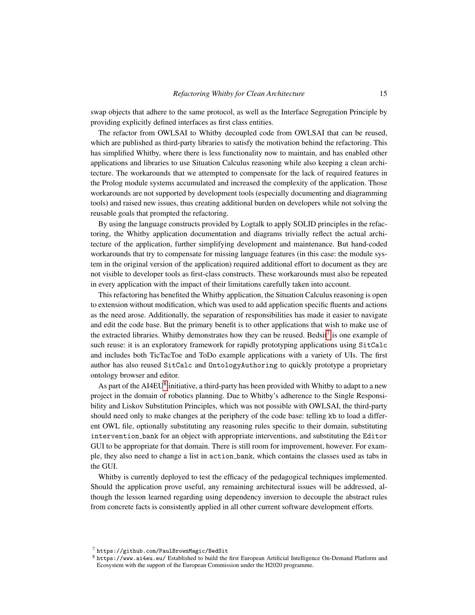swap objects that adhere to the same protocol, as well as the Interface Segregation Principle by providing explicitly defined interfaces as first class entities.

The refactor from OWLSAI to Whitby decoupled code from OWLSAI that can be reused, which are published as third-party libraries to satisfy the motivation behind the refactoring. This has simplified Whitby, where there is less functionality now to maintain, and has enabled other applications and libraries to use Situation Calculus reasoning while also keeping a clean architecture. The workarounds that we attempted to compensate for the lack of required features in the Prolog module systems accumulated and increased the complexity of the application. Those workarounds are not supported by development tools (especially documenting and diagramming tools) and raised new issues, thus creating additional burden on developers while not solving the reusable goals that prompted the refactoring.

By using the language constructs provided by Logtalk to apply SOLID principles in the refactoring, the Whitby application documentation and diagrams trivially reflect the actual architecture of the application, further simplifying development and maintenance. But hand-coded workarounds that try to compensate for missing language features (in this case: the module system in the original version of the application) required additional effort to document as they are not visible to developer tools as first-class constructs. These workarounds must also be repeated in every application with the impact of their limitations carefully taken into account.

This refactoring has benefited the Whitby application, the Situation Calculus reasoning is open to extension without modification, which was used to add application specific fluents and actions as the need arose. Additionally, the separation of responsibilities has made it easier to navigate and edit the code base. But the primary benefit is to other applications that wish to make use of the extracted libraries. Whitby demonstrates how they can be reused. Bedsit<sup>[7](#page-14-0)</sup> is one example of such reuse: it is an exploratory framework for rapidly prototyping applications using SitCalc and includes both TicTacToe and ToDo example applications with a variety of UIs. The first author has also reused SitCalc and OntologyAuthoring to quickly prototype a proprietary ontology browser and editor.

As part of the AI4EU<sup>[8](#page-14-1)</sup> initiative, a third-party has been provided with Whitby to adapt to a new project in the domain of robotics planning. Due to Whitby's adherence to the Single Responsibility and Liskov Substitution Principles, which was not possible with OWLSAI, the third-party should need only to make changes at the periphery of the code base: telling kb to load a different OWL file, optionally substituting any reasoning rules specific to their domain, substituting intervention bank for an object with appropriate interventions, and substituting the Editor GUI to be appropriate for that domain. There is still room for improvement, however. For example, they also need to change a list in action bank, which contains the classes used as tabs in the GUI.

Whitby is currently deployed to test the efficacy of the pedagogical techniques implemented. Should the application prove useful, any remaining architectural issues will be addressed, although the lesson learned regarding using dependency inversion to decouple the abstract rules from concrete facts is consistently applied in all other current software development efforts.

<span id="page-14-0"></span><sup>7</sup> https://github.com/PaulBrownMagic/BedSit

<span id="page-14-1"></span><sup>8</sup> https://www.ai4eu.eu/ Established to build the first European Artificial Intelligence On-Demand Platform and Ecosystem with the support of the European Commission under the H2020 programme.